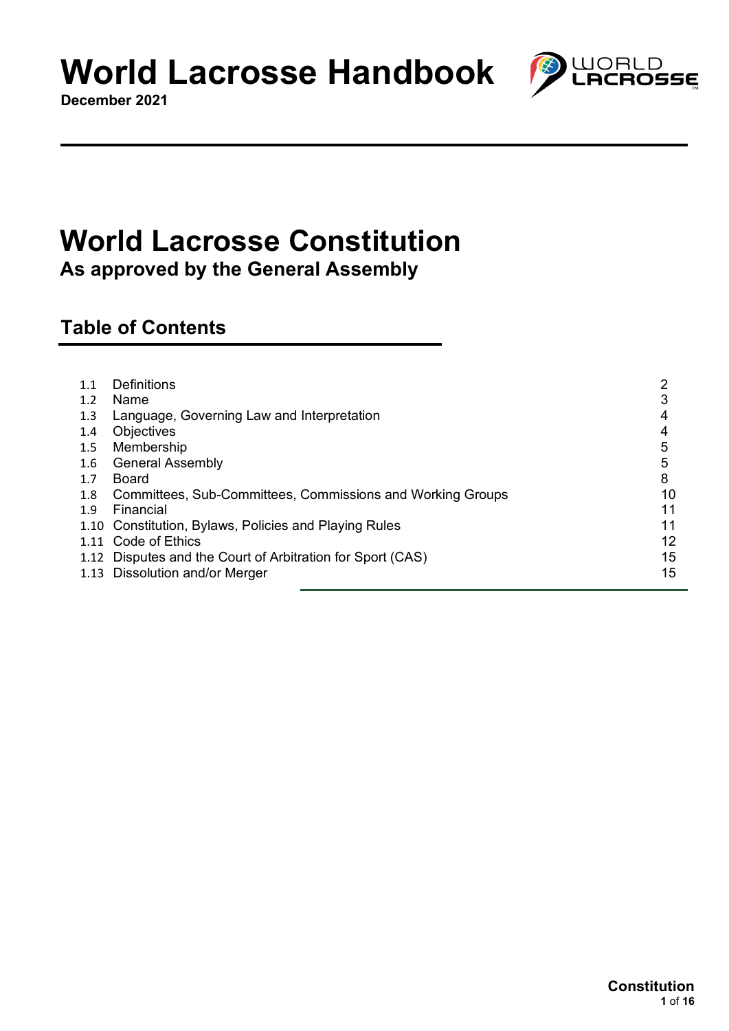**December 2021**

# **World Lacrosse Constitution**

**As approved by the General Assembly**

## **Table of Contents**

| 1.1 | Definitions                                                | າ  |
|-----|------------------------------------------------------------|----|
| 1.2 | Name                                                       | 3  |
| 1.3 | Language, Governing Law and Interpretation                 | 4  |
| 1.4 | Objectives                                                 | 4  |
| 1.5 | Membership                                                 | 5  |
| 1.6 | <b>General Assembly</b>                                    | 5  |
| 1.7 | Board                                                      | 8  |
| 1.8 | Committees, Sub-Committees, Commissions and Working Groups | 10 |
| 1.9 | Financial                                                  | 11 |
|     | 1.10 Constitution, Bylaws, Policies and Playing Rules      | 11 |
|     | 1.11 Code of Ethics                                        | 12 |
|     | 1.12 Disputes and the Court of Arbitration for Sport (CAS) | 15 |
|     | 1.13 Dissolution and/or Merger                             | 15 |
|     |                                                            |    |

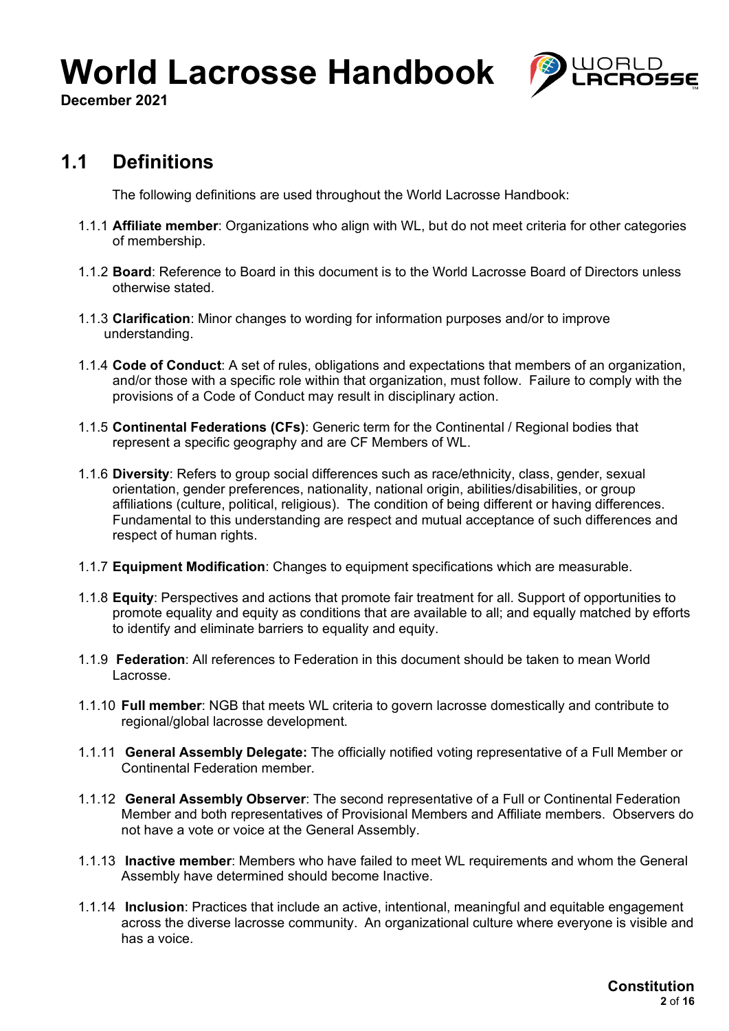

**December 2021**

## **1.1 Definitions**

The following definitions are used throughout the World Lacrosse Handbook:

- 1.1.1 **Affiliate member**: Organizations who align with WL, but do not meet criteria for other categories of membership.
- 1.1.2 **Board**: Reference to Board in this document is to the World Lacrosse Board of Directors unless otherwise stated.
- 1.1.3 **Clarification**: Minor changes to wording for information purposes and/or to improve understanding.
- 1.1.4 **Code of Conduct**: A set of rules, obligations and expectations that members of an organization, and/or those with a specific role within that organization, must follow. Failure to comply with the provisions of a Code of Conduct may result in disciplinary action.
- 1.1.5 **Continental Federations (CFs)**: Generic term for the Continental / Regional bodies that represent a specific geography and are CF Members of WL.
- 1.1.6 **Diversity**: Refers to group social differences such as race/ethnicity, class, gender, sexual orientation, gender preferences, nationality, national origin, abilities/disabilities, or group affiliations (culture, political, religious). The condition of being different or having differences. Fundamental to this understanding are respect and mutual acceptance of such differences and respect of human rights.
- 1.1.7 **Equipment Modification**: Changes to equipment specifications which are measurable.
- 1.1.8 **Equity**: Perspectives and actions that promote fair treatment for all. Support of opportunities to promote equality and equity as conditions that are available to all; and equally matched by efforts to identify and eliminate barriers to equality and equity.
- 1.1.9 **Federation**: All references to Federation in this document should be taken to mean World Lacrosse.
- 1.1.10 **Full member**: NGB that meets WL criteria to govern lacrosse domestically and contribute to regional/global lacrosse development.
- 1.1.11 **General Assembly Delegate:** The officially notified voting representative of a Full Member or Continental Federation member.
- 1.1.12 **General Assembly Observer**: The second representative of a Full or Continental Federation Member and both representatives of Provisional Members and Affiliate members. Observers do not have a vote or voice at the General Assembly.
- 1.1.13 **Inactive member**: Members who have failed to meet WL requirements and whom the General Assembly have determined should become Inactive.
- 1.1.14 **Inclusion**: Practices that include an active, intentional, meaningful and equitable engagement across the diverse lacrosse community. An organizational culture where everyone is visible and has a voice.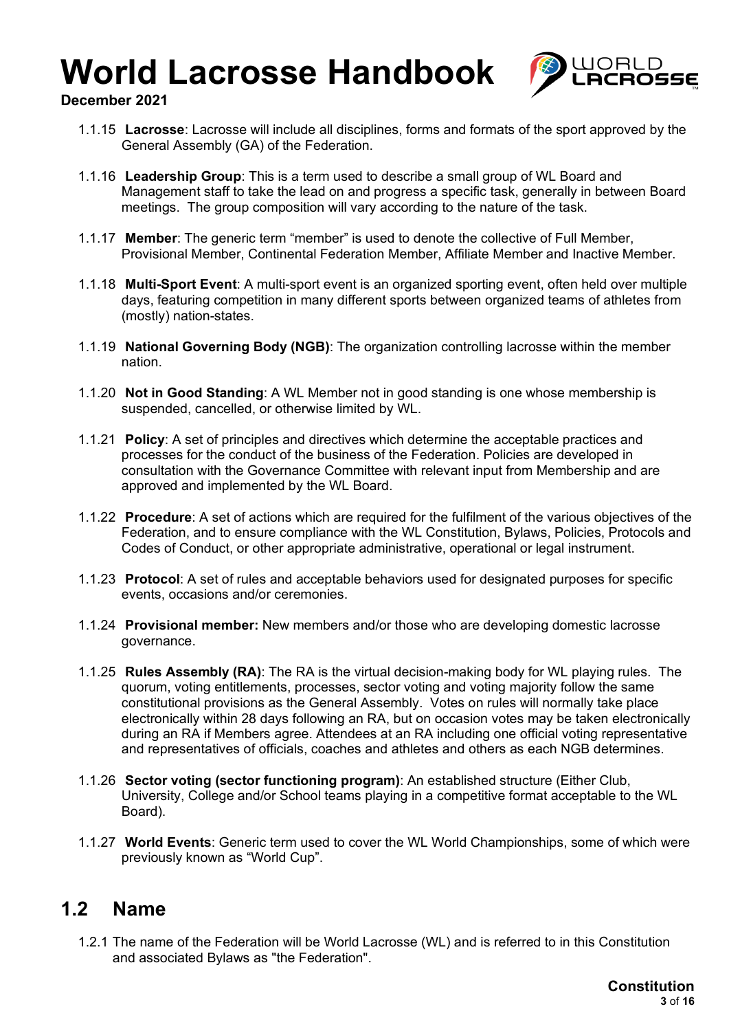

### **December 2021**

- 1.1.15 **Lacrosse**: Lacrosse will include all disciplines, forms and formats of the sport approved by the General Assembly (GA) of the Federation.
- 1.1.16 **Leadership Group**: This is a term used to describe a small group of WL Board and Management staff to take the lead on and progress a specific task, generally in between Board meetings. The group composition will vary according to the nature of the task.
- 1.1.17 **Member**: The generic term "member" is used to denote the collective of Full Member, Provisional Member, Continental Federation Member, Affiliate Member and Inactive Member.
- 1.1.18 **Multi-Sport Event**: A multi-sport event is an organized sporting event, often held over multiple days, featuring competition in many different sports between organized teams of athletes from (mostly) nation-states.
- 1.1.19 **National Governing Body (NGB)**: The organization controlling lacrosse within the member nation.
- 1.1.20 **Not in Good Standing**: A WL Member not in good standing is one whose membership is suspended, cancelled, or otherwise limited by WL.
- 1.1.21 **Policy**: A set of principles and directives which determine the acceptable practices and processes for the conduct of the business of the Federation. Policies are developed in consultation with the Governance Committee with relevant input from Membership and are approved and implemented by the WL Board.
- 1.1.22 **Procedure**: A set of actions which are required for the fulfilment of the various objectives of the Federation, and to ensure compliance with the WL Constitution, Bylaws, Policies, Protocols and Codes of Conduct, or other appropriate administrative, operational or legal instrument.
- 1.1.23 **Protocol**: A set of rules and acceptable behaviors used for designated purposes for specific events, occasions and/or ceremonies.
- 1.1.24 **Provisional member:** New members and/or those who are developing domestic lacrosse governance.
- 1.1.25 **Rules Assembly (RA)**: The RA is the virtual decision-making body for WL playing rules. The quorum, voting entitlements, processes, sector voting and voting majority follow the same constitutional provisions as the General Assembly. Votes on rules will normally take place electronically within 28 days following an RA, but on occasion votes may be taken electronically during an RA if Members agree. Attendees at an RA including one official voting representative and representatives of officials, coaches and athletes and others as each NGB determines.
- 1.1.26 **Sector voting (sector functioning program)**: An established structure (Either Club, University, College and/or School teams playing in a competitive format acceptable to the WL Board).
- 1.1.27 **World Events**: Generic term used to cover the WL World Championships, some of which were previously known as "World Cup".

### **1.2 Name**

1.2.1 The name of the Federation will be World Lacrosse (WL) and is referred to in this Constitution and associated Bylaws as "the Federation".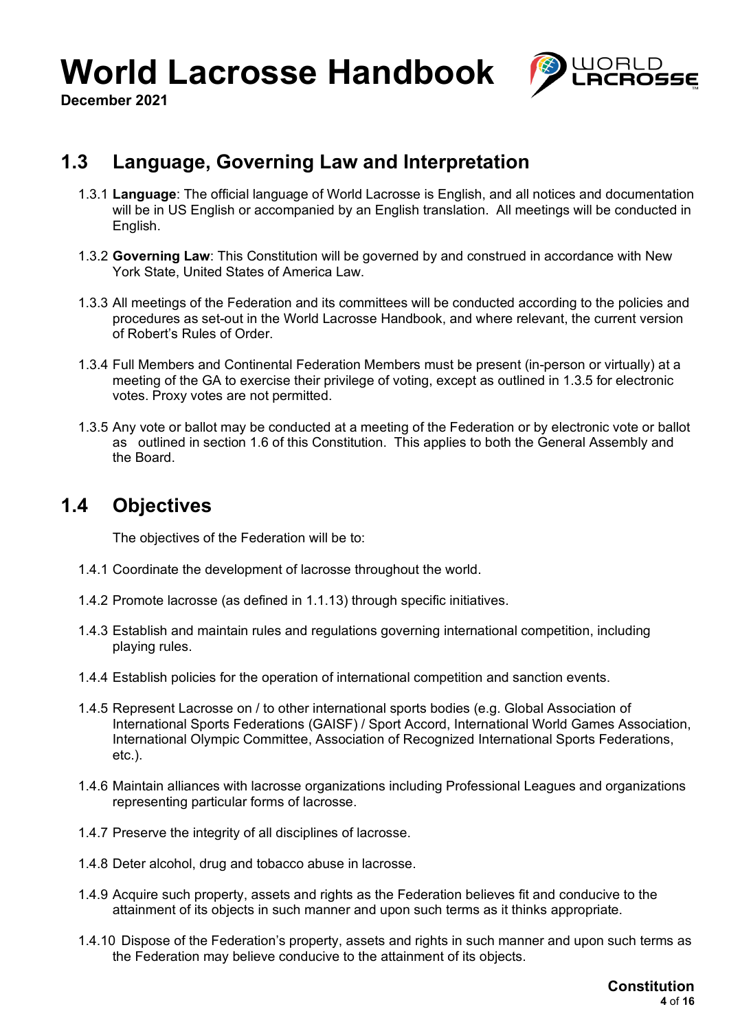

**December 2021**

### **1.3 Language, Governing Law and Interpretation**

- 1.3.1 **Language**: The official language of World Lacrosse is English, and all notices and documentation will be in US English or accompanied by an English translation. All meetings will be conducted in English.
- 1.3.2 **Governing Law**: This Constitution will be governed by and construed in accordance with New York State, United States of America Law.
- 1.3.3 All meetings of the Federation and its committees will be conducted according to the policies and procedures as set-out in the World Lacrosse Handbook, and where relevant, the current version of Robert's Rules of Order.
- 1.3.4 Full Members and Continental Federation Members must be present (in-person or virtually) at a meeting of the GA to exercise their privilege of voting, except as outlined in 1.3.5 for electronic votes. Proxy votes are not permitted.
- 1.3.5 Any vote or ballot may be conducted at a meeting of the Federation or by electronic vote or ballot as outlined in section 1.6 of this Constitution. This applies to both the General Assembly and the Board.

### **1.4 Objectives**

The objectives of the Federation will be to:

- 1.4.1 Coordinate the development of lacrosse throughout the world.
- 1.4.2 Promote lacrosse (as defined in 1.1.13) through specific initiatives.
- 1.4.3 Establish and maintain rules and regulations governing international competition, including playing rules.
- 1.4.4 Establish policies for the operation of international competition and sanction events.
- 1.4.5 Represent Lacrosse on / to other international sports bodies (e.g. Global Association of International Sports Federations (GAISF) / Sport Accord, International World Games Association, International Olympic Committee, Association of Recognized International Sports Federations, etc.).
- 1.4.6 Maintain alliances with lacrosse organizations including Professional Leagues and organizations representing particular forms of lacrosse.
- 1.4.7 Preserve the integrity of all disciplines of lacrosse.
- 1.4.8 Deter alcohol, drug and tobacco abuse in lacrosse.
- 1.4.9 Acquire such property, assets and rights as the Federation believes fit and conducive to the attainment of its objects in such manner and upon such terms as it thinks appropriate.
- 1.4.10 Dispose of the Federation's property, assets and rights in such manner and upon such terms as the Federation may believe conducive to the attainment of its objects.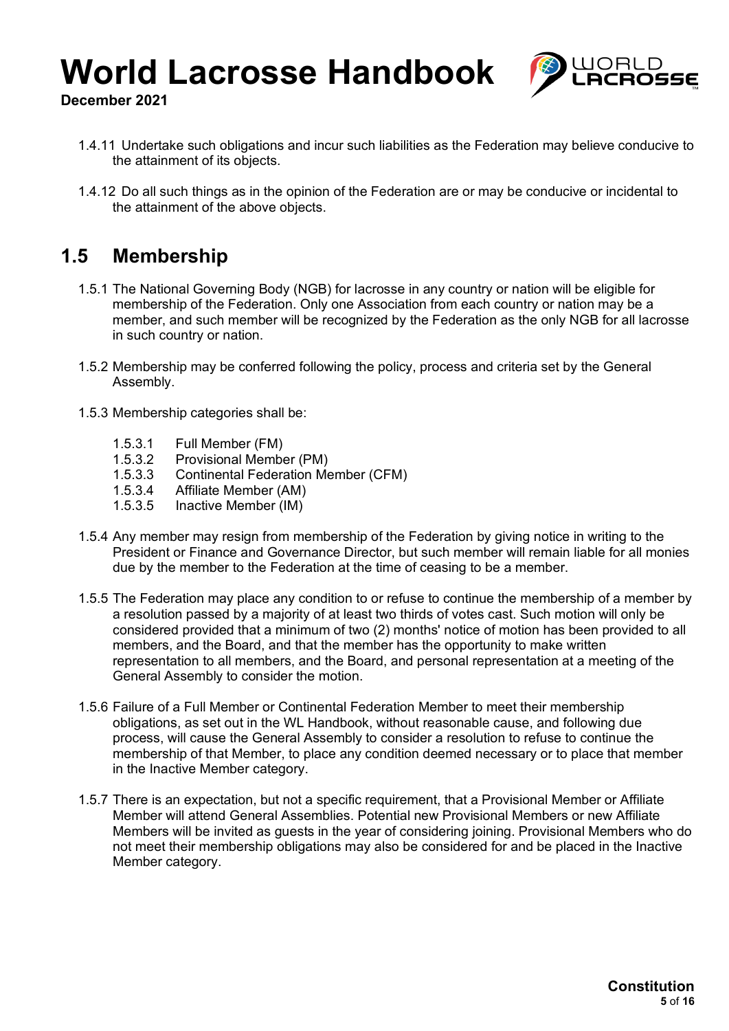

**December 2021**

- 1.4.11 Undertake such obligations and incur such liabilities as the Federation may believe conducive to the attainment of its objects.
- 1.4.12 Do all such things as in the opinion of the Federation are or may be conducive or incidental to the attainment of the above objects.

## **1.5 Membership**

- 1.5.1 The National Governing Body (NGB) for lacrosse in any country or nation will be eligible for membership of the Federation. Only one Association from each country or nation may be a member, and such member will be recognized by the Federation as the only NGB for all lacrosse in such country or nation.
- 1.5.2 Membership may be conferred following the policy, process and criteria set by the General Assembly.
- 1.5.3 Membership categories shall be:
	- 1.5.3.1 Full Member (FM)<br>1.5.3.2 Provisional Membe
	- 1.5.3.2 Provisional Member (PM)
	- 1.5.3.3 Continental Federation Member (CFM)<br>1.5.3.4 Affiliate Member (AM)
	- 1.5.3.4 Affiliate Member (AM)<br>1.5.3.5 Inactive Member (IM)
	- Inactive Member (IM)
- 1.5.4 Any member may resign from membership of the Federation by giving notice in writing to the President or Finance and Governance Director, but such member will remain liable for all monies due by the member to the Federation at the time of ceasing to be a member.
- 1.5.5 The Federation may place any condition to or refuse to continue the membership of a member by a resolution passed by a majority of at least two thirds of votes cast. Such motion will only be considered provided that a minimum of two (2) months' notice of motion has been provided to all members, and the Board, and that the member has the opportunity to make written representation to all members, and the Board, and personal representation at a meeting of the General Assembly to consider the motion.
- 1.5.6 Failure of a Full Member or Continental Federation Member to meet their membership obligations, as set out in the WL Handbook, without reasonable cause, and following due process, will cause the General Assembly to consider a resolution to refuse to continue the membership of that Member, to place any condition deemed necessary or to place that member in the Inactive Member category.
- 1.5.7 There is an expectation, but not a specific requirement, that a Provisional Member or Affiliate Member will attend General Assemblies. Potential new Provisional Members or new Affiliate Members will be invited as guests in the year of considering joining. Provisional Members who do not meet their membership obligations may also be considered for and be placed in the Inactive Member category.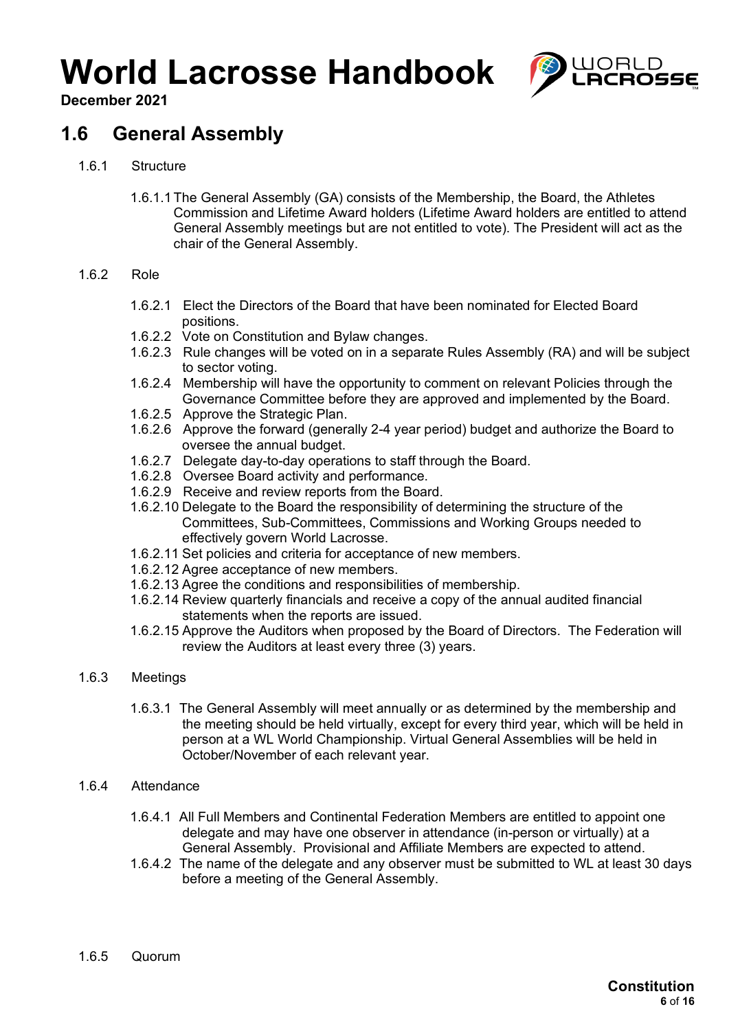

**December 2021**

## **1.6 General Assembly**

- 1.6.1 Structure
	- 1.6.1.1 The General Assembly (GA) consists of the Membership, the Board, the Athletes Commission and Lifetime Award holders (Lifetime Award holders are entitled to attend General Assembly meetings but are not entitled to vote). The President will act as the chair of the General Assembly.

#### 1.6.2 Role

- 1.6.2.1 Elect the Directors of the Board that have been nominated for Elected Board positions.
- 1.6.2.2 Vote on Constitution and Bylaw changes.
- 1.6.2.3 Rule changes will be voted on in a separate Rules Assembly (RA) and will be subject to sector voting.
- 1.6.2.4 Membership will have the opportunity to comment on relevant Policies through the Governance Committee before they are approved and implemented by the Board.
- 1.6.2.5 Approve the Strategic Plan.
- 1.6.2.6 Approve the forward (generally 2-4 year period) budget and authorize the Board to oversee the annual budget.
- 1.6.2.7 Delegate day-to-day operations to staff through the Board.
- 1.6.2.8 Oversee Board activity and performance.
- 1.6.2.9 Receive and review reports from the Board.
- 1.6.2.10 Delegate to the Board the responsibility of determining the structure of the Committees, Sub-Committees, Commissions and Working Groups needed to effectively govern World Lacrosse.
- 1.6.2.11 Set policies and criteria for acceptance of new members.
- 1.6.2.12 Agree acceptance of new members.
- 1.6.2.13 Agree the conditions and responsibilities of membership.
- 1.6.2.14 Review quarterly financials and receive a copy of the annual audited financial statements when the reports are issued.
- 1.6.2.15 Approve the Auditors when proposed by the Board of Directors. The Federation will review the Auditors at least every three (3) years.

#### 1.6.3 Meetings

1.6.3.1 The General Assembly will meet annually or as determined by the membership and the meeting should be held virtually, except for every third year, which will be held in person at a WL World Championship. Virtual General Assemblies will be held in October/November of each relevant year.

#### 1.6.4 Attendance

- 1.6.4.1 All Full Members and Continental Federation Members are entitled to appoint one delegate and may have one observer in attendance (in-person or virtually) at a General Assembly. Provisional and Affiliate Members are expected to attend.
- 1.6.4.2 The name of the delegate and any observer must be submitted to WL at least 30 days before a meeting of the General Assembly.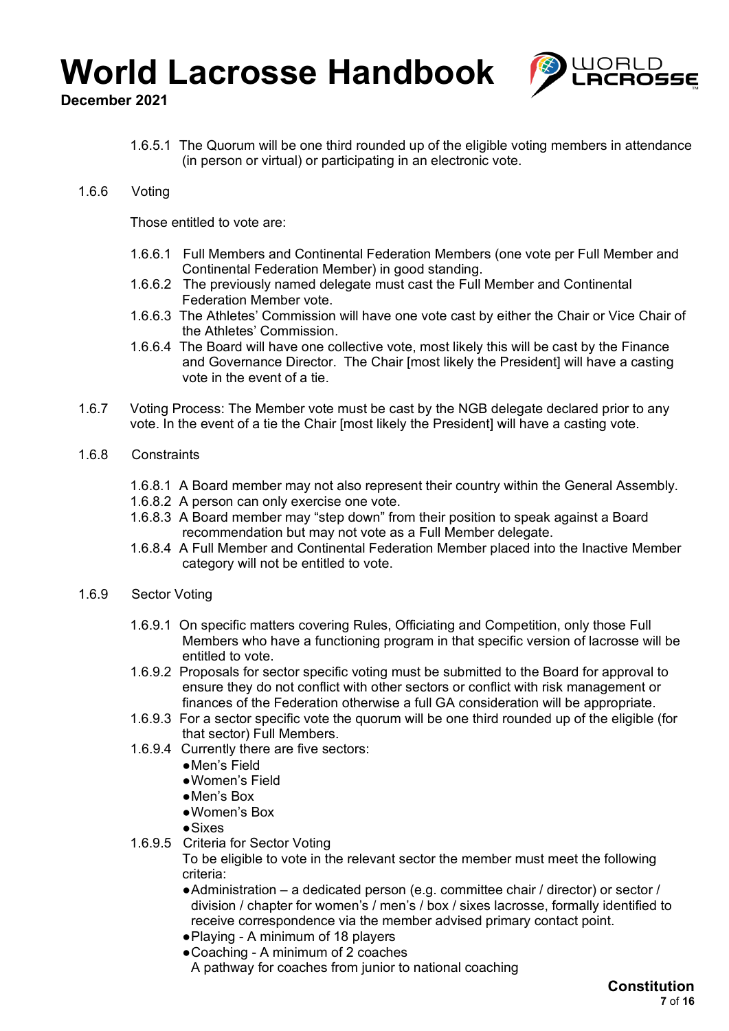

**December 2021**

- 1.6.5.1 The Quorum will be one third rounded up of the eligible voting members in attendance (in person or virtual) or participating in an electronic vote.
- 1.6.6 Voting

Those entitled to vote are:

- 1.6.6.1 Full Members and Continental Federation Members (one vote per Full Member and Continental Federation Member) in good standing.
- 1.6.6.2 The previously named delegate must cast the Full Member and Continental Federation Member vote.
- 1.6.6.3 The Athletes' Commission will have one vote cast by either the Chair or Vice Chair of the Athletes' Commission.
- 1.6.6.4 The Board will have one collective vote, most likely this will be cast by the Finance and Governance Director. The Chair [most likely the President] will have a casting vote in the event of a tie.
- 1.6.7 Voting Process: The Member vote must be cast by the NGB delegate declared prior to any vote. In the event of a tie the Chair [most likely the President] will have a casting vote.
- 1.6.8 Constraints
	- 1.6.8.1 A Board member may not also represent their country within the General Assembly.
	- 1.6.8.2 A person can only exercise one vote.
	- 1.6.8.3 A Board member may "step down" from their position to speak against a Board recommendation but may not vote as a Full Member delegate.
	- 1.6.8.4 A Full Member and Continental Federation Member placed into the Inactive Member category will not be entitled to vote.
- 1.6.9 Sector Voting
	- 1.6.9.1 On specific matters covering Rules, Officiating and Competition, only those Full Members who have a functioning program in that specific version of lacrosse will be entitled to vote.
	- 1.6.9.2 Proposals for sector specific voting must be submitted to the Board for approval to ensure they do not conflict with other sectors or conflict with risk management or finances of the Federation otherwise a full GA consideration will be appropriate.
	- 1.6.9.3 For a sector specific vote the quorum will be one third rounded up of the eligible (for that sector) Full Members.
	- 1.6.9.4 Currently there are five sectors:
		- ●Men's Field
		- ●Women's Field
		- ●Men's Box
		- ●Women's Box
		- ●Sixes
	- 1.6.9.5 Criteria for Sector Voting

To be eligible to vote in the relevant sector the member must meet the following criteria:

- ●Administration a dedicated person (e.g. committee chair / director) or sector / division / chapter for women's / men's / box / sixes lacrosse, formally identified to receive correspondence via the member advised primary contact point.
- ●Playing A minimum of 18 players
- Coaching A minimum of 2 coaches A pathway for coaches from junior to national coaching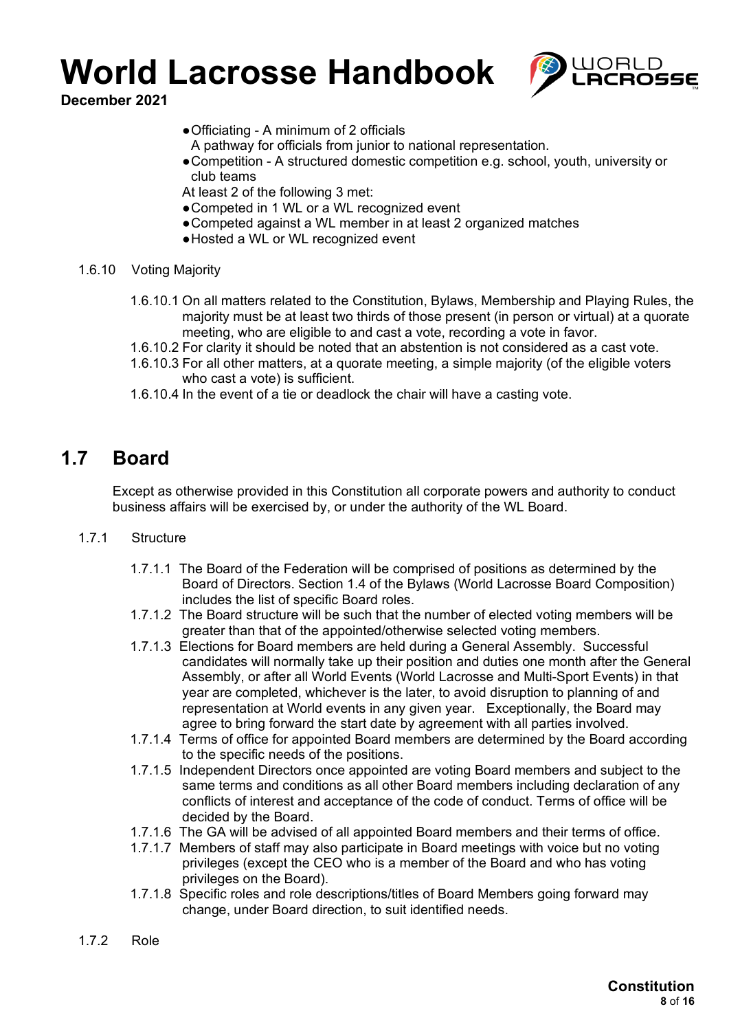

**December 2021**

- ●Officiating A minimum of 2 officials
- A pathway for officials from junior to national representation.
- ●Competition A structured domestic competition e.g. school, youth, university or club teams
- At least 2 of the following 3 met:
- ●Competed in 1 WL or a WL recognized event
- Competed against a WL member in at least 2 organized matches
- ●Hosted a WL or WL recognized event
- 1.6.10 Voting Majority
	- 1.6.10.1 On all matters related to the Constitution, Bylaws, Membership and Playing Rules, the majority must be at least two thirds of those present (in person or virtual) at a quorate meeting, who are eligible to and cast a vote, recording a vote in favor.
	- 1.6.10.2 For clarity it should be noted that an abstention is not considered as a cast vote.
	- 1.6.10.3 For all other matters, at a quorate meeting, a simple majority (of the eligible voters who cast a vote) is sufficient.
	- 1.6.10.4 In the event of a tie or deadlock the chair will have a casting vote.

### **1.7 Board**

Except as otherwise provided in this Constitution all corporate powers and authority to conduct business affairs will be exercised by, or under the authority of the WL Board.

#### 1.7.1 Structure

- 1.7.1.1 The Board of the Federation will be comprised of positions as determined by the Board of Directors. Section 1.4 of the Bylaws (World Lacrosse Board Composition) includes the list of specific Board roles.
- 1.7.1.2 The Board structure will be such that the number of elected voting members will be greater than that of the appointed/otherwise selected voting members.
- 1.7.1.3 Elections for Board members are held during a General Assembly. Successful candidates will normally take up their position and duties one month after the General Assembly, or after all World Events (World Lacrosse and Multi-Sport Events) in that year are completed, whichever is the later, to avoid disruption to planning of and representation at World events in any given year. Exceptionally, the Board may agree to bring forward the start date by agreement with all parties involved.
- 1.7.1.4 Terms of office for appointed Board members are determined by the Board according to the specific needs of the positions.
- 1.7.1.5 Independent Directors once appointed are voting Board members and subject to the same terms and conditions as all other Board members including declaration of any conflicts of interest and acceptance of the code of conduct. Terms of office will be decided by the Board.
- 1.7.1.6 The GA will be advised of all appointed Board members and their terms of office.
- 1.7.1.7 Members of staff may also participate in Board meetings with voice but no voting privileges (except the CEO who is a member of the Board and who has voting privileges on the Board).
- 1.7.1.8 Specific roles and role descriptions/titles of Board Members going forward may change, under Board direction, to suit identified needs.
- 1.7.2 Role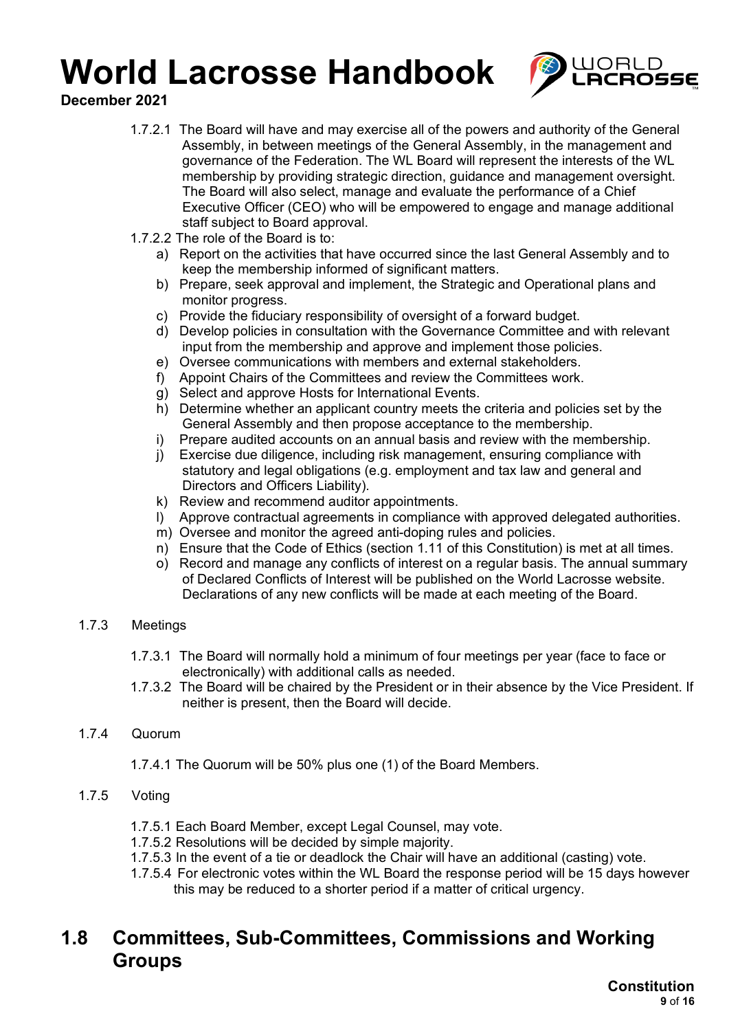

**December 2021**

- 1.7.2.1 The Board will have and may exercise all of the powers and authority of the General Assembly, in between meetings of the General Assembly, in the management and governance of the Federation. The WL Board will represent the interests of the WL membership by providing strategic direction, guidance and management oversight. The Board will also select, manage and evaluate the performance of a Chief Executive Officer (CEO) who will be empowered to engage and manage additional staff subject to Board approval.
- 1.7.2.2 The role of the Board is to:
	- a) Report on the activities that have occurred since the last General Assembly and to keep the membership informed of significant matters.
	- b) Prepare, seek approval and implement, the Strategic and Operational plans and monitor progress.
	- c) Provide the fiduciary responsibility of oversight of a forward budget.
	- d) Develop policies in consultation with the Governance Committee and with relevant input from the membership and approve and implement those policies.
	- e) Oversee communications with members and external stakeholders.
	- f) Appoint Chairs of the Committees and review the Committees work.
	- g) Select and approve Hosts for International Events.
	- h) Determine whether an applicant country meets the criteria and policies set by the General Assembly and then propose acceptance to the membership.
	- i) Prepare audited accounts on an annual basis and review with the membership.
	- j) Exercise due diligence, including risk management, ensuring compliance with statutory and legal obligations (e.g. employment and tax law and general and Directors and Officers Liability).
	- k) Review and recommend auditor appointments.
	- l) Approve contractual agreements in compliance with approved delegated authorities.
	- m) Oversee and monitor the agreed anti-doping rules and policies.
	- n) Ensure that the Code of Ethics (section 1.11 of this Constitution) is met at all times.
	- o) Record and manage any conflicts of interest on a regular basis. The annual summary of Declared Conflicts of Interest will be published on the World Lacrosse website. Declarations of any new conflicts will be made at each meeting of the Board.

### 1.7.3 Meetings

- 1.7.3.1 The Board will normally hold a minimum of four meetings per year (face to face or electronically) with additional calls as needed.
- 1.7.3.2 The Board will be chaired by the President or in their absence by the Vice President. If neither is present, then the Board will decide.

### 1.7.4 Quorum

- 1.7.4.1 The Quorum will be 50% plus one (1) of the Board Members.
- 1.7.5 Voting
	- 1.7.5.1 Each Board Member, except Legal Counsel, may vote.
	- 1.7.5.2 Resolutions will be decided by simple majority.
	- 1.7.5.3 In the event of a tie or deadlock the Chair will have an additional (casting) vote.
	- 1.7.5.4 For electronic votes within the WL Board the response period will be 15 days however this may be reduced to a shorter period if a matter of critical urgency.

### **1.8 Committees, Sub-Committees, Commissions and Working Groups**

**Constitution 9** of **16**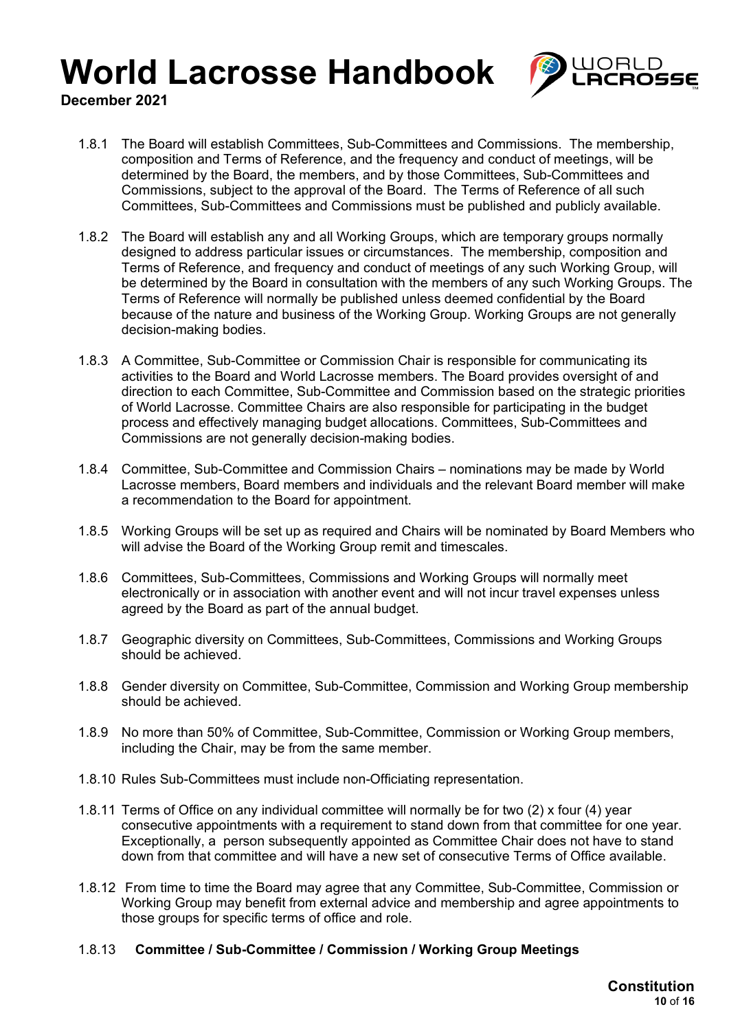

**December 2021**

- 1.8.1 The Board will establish Committees, Sub-Committees and Commissions. The membership, composition and Terms of Reference, and the frequency and conduct of meetings, will be determined by the Board, the members, and by those Committees, Sub-Committees and Commissions, subject to the approval of the Board. The Terms of Reference of all such Committees, Sub-Committees and Commissions must be published and publicly available.
- 1.8.2 The Board will establish any and all Working Groups, which are temporary groups normally designed to address particular issues or circumstances. The membership, composition and Terms of Reference, and frequency and conduct of meetings of any such Working Group, will be determined by the Board in consultation with the members of any such Working Groups. The Terms of Reference will normally be published unless deemed confidential by the Board because of the nature and business of the Working Group. Working Groups are not generally decision-making bodies.
- 1.8.3 A Committee, Sub-Committee or Commission Chair is responsible for communicating its activities to the Board and World Lacrosse members. The Board provides oversight of and direction to each Committee, Sub-Committee and Commission based on the strategic priorities of World Lacrosse. Committee Chairs are also responsible for participating in the budget process and effectively managing budget allocations. Committees, Sub-Committees and Commissions are not generally decision-making bodies.
- 1.8.4 Committee, Sub-Committee and Commission Chairs nominations may be made by World Lacrosse members, Board members and individuals and the relevant Board member will make a recommendation to the Board for appointment.
- 1.8.5 Working Groups will be set up as required and Chairs will be nominated by Board Members who will advise the Board of the Working Group remit and timescales.
- 1.8.6 Committees, Sub-Committees, Commissions and Working Groups will normally meet electronically or in association with another event and will not incur travel expenses unless agreed by the Board as part of the annual budget.
- 1.8.7 Geographic diversity on Committees, Sub-Committees, Commissions and Working Groups should be achieved.
- 1.8.8 Gender diversity on Committee, Sub-Committee, Commission and Working Group membership should be achieved.
- 1.8.9 No more than 50% of Committee, Sub-Committee, Commission or Working Group members, including the Chair, may be from the same member.
- 1.8.10 Rules Sub-Committees must include non-Officiating representation.
- 1.8.11 Terms of Office on any individual committee will normally be for two (2) x four (4) year consecutive appointments with a requirement to stand down from that committee for one year. Exceptionally, a person subsequently appointed as Committee Chair does not have to stand down from that committee and will have a new set of consecutive Terms of Office available.
- 1.8.12 From time to time the Board may agree that any Committee, Sub-Committee, Commission or Working Group may benefit from external advice and membership and agree appointments to those groups for specific terms of office and role.
- 1.8.13 **Committee / Sub-Committee / Commission / Working Group Meetings**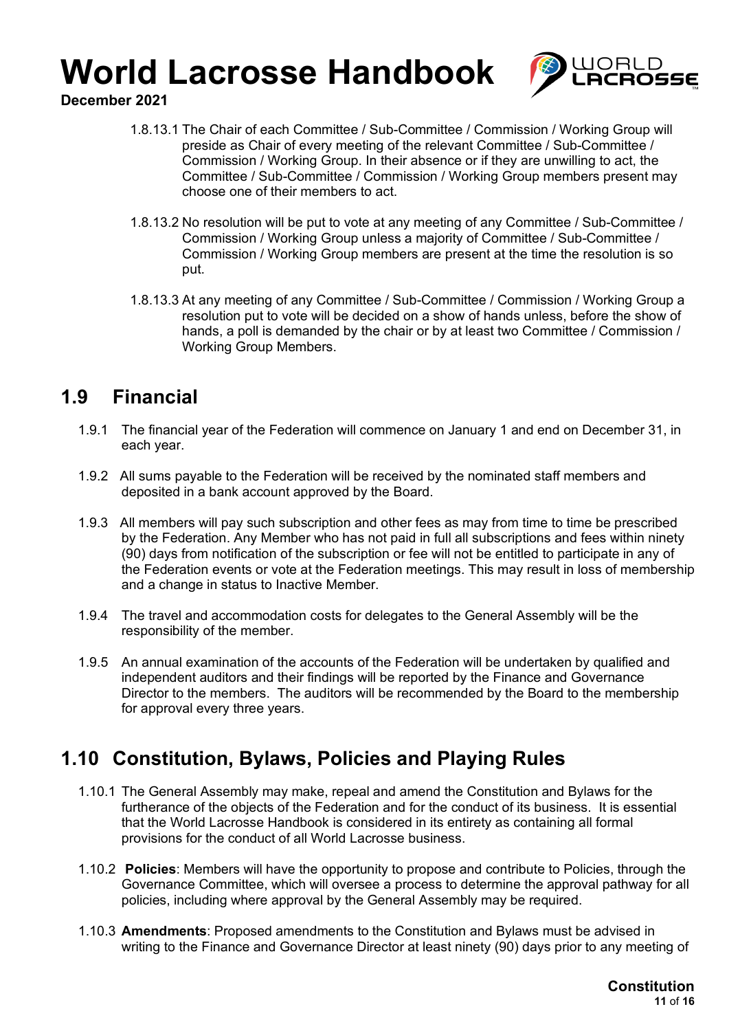

**December 2021**

- 1.8.13.1 The Chair of each Committee / Sub-Committee / Commission / Working Group will preside as Chair of every meeting of the relevant Committee / Sub-Committee / Commission / Working Group. In their absence or if they are unwilling to act, the Committee / Sub-Committee / Commission / Working Group members present may choose one of their members to act.
- 1.8.13.2 No resolution will be put to vote at any meeting of any Committee / Sub-Committee / Commission / Working Group unless a majority of Committee / Sub-Committee / Commission / Working Group members are present at the time the resolution is so put.
- 1.8.13.3 At any meeting of any Committee / Sub-Committee / Commission / Working Group a resolution put to vote will be decided on a show of hands unless, before the show of hands, a poll is demanded by the chair or by at least two Committee / Commission / Working Group Members.

## **1.9 Financial**

- 1.9.1 The financial year of the Federation will commence on January 1 and end on December 31, in each year.
- 1.9.2 All sums payable to the Federation will be received by the nominated staff members and deposited in a bank account approved by the Board.
- 1.9.3 All members will pay such subscription and other fees as may from time to time be prescribed by the Federation. Any Member who has not paid in full all subscriptions and fees within ninety (90) days from notification of the subscription or fee will not be entitled to participate in any of the Federation events or vote at the Federation meetings. This may result in loss of membership and a change in status to Inactive Member.
- 1.9.4 The travel and accommodation costs for delegates to the General Assembly will be the responsibility of the member.
- 1.9.5 An annual examination of the accounts of the Federation will be undertaken by qualified and independent auditors and their findings will be reported by the Finance and Governance Director to the members. The auditors will be recommended by the Board to the membership for approval every three years.

## **1.10 Constitution, Bylaws, Policies and Playing Rules**

- 1.10.1 The General Assembly may make, repeal and amend the Constitution and Bylaws for the furtherance of the objects of the Federation and for the conduct of its business. It is essential that the World Lacrosse Handbook is considered in its entirety as containing all formal provisions for the conduct of all World Lacrosse business.
- 1.10.2 **Policies**: Members will have the opportunity to propose and contribute to Policies, through the Governance Committee, which will oversee a process to determine the approval pathway for all policies, including where approval by the General Assembly may be required.
- 1.10.3 **Amendments**: Proposed amendments to the Constitution and Bylaws must be advised in writing to the Finance and Governance Director at least ninety (90) days prior to any meeting of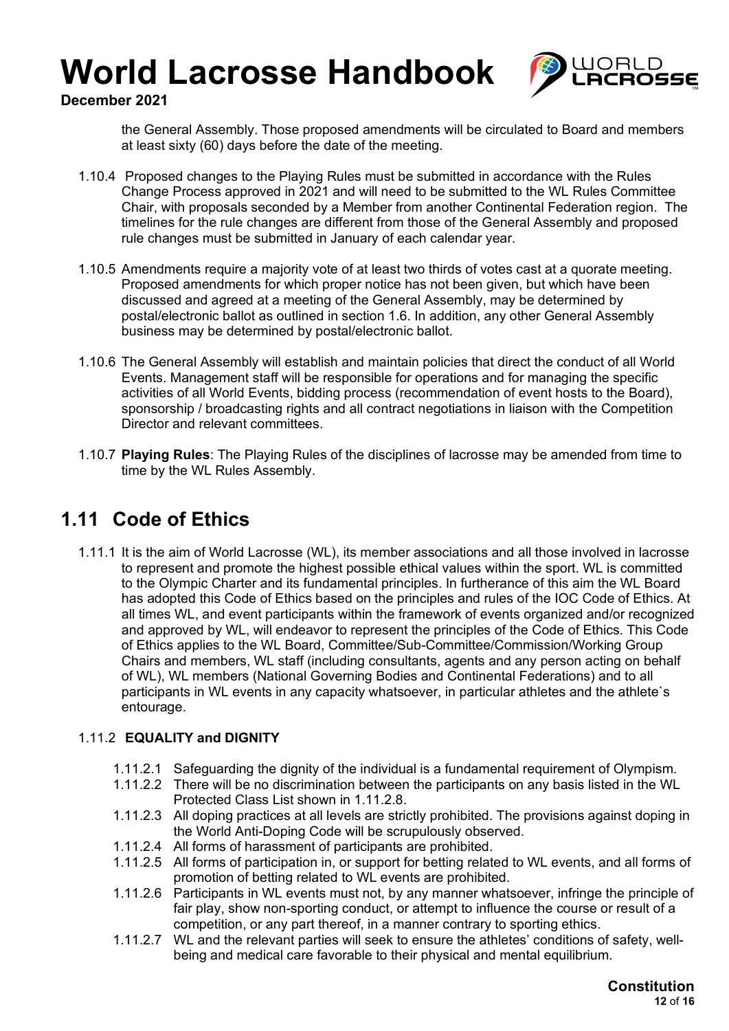

**December 2021**

the General Assembly. Those proposed amendments will be circulated to Board and members at least sixty (60) days before the date of the meeting.

- 1.10.4 Proposed changes to the Playing Rules must be submitted in accordance with the Rules Change Process approved in 2021 and will need to be submitted to the WL Rules Committee Chair, with proposals seconded by a Member from another Continental Federation region. The timelines for the rule changes are different from those of the General Assembly and proposed rule changes must be submitted in January of each calendar year.
- 1.10.5 Amendments require a majority vote of at least two thirds of votes cast at a quorate meeting. Proposed amendments for which proper notice has not been given, but which have been discussed and agreed at a meeting of the General Assembly, may be determined by postal/electronic ballot as outlined in section 1.6. In addition, any other General Assembly business may be determined by postal/electronic ballot.
- 1.10.6 The General Assembly will establish and maintain policies that direct the conduct of all World Events. Management staff will be responsible for operations and for managing the specific activities of all World Events, bidding process (recommendation of event hosts to the Board), sponsorship / broadcasting rights and all contract negotiations in liaison with the Competition Director and relevant committees.
- 1.10.7 **Playing Rules**: The Playing Rules of the disciplines of lacrosse may be amended from time to time by the WL Rules Assembly.

## **1.11 Code of Ethics**

1.11.1 It is the aim of World Lacrosse (WL), its member associations and all those involved in lacrosse to represent and promote the highest possible ethical values within the sport. WL is committed to the Olympic Charter and its fundamental principles. In furtherance of this aim the WL Board has adopted this Code of Ethics based on the principles and rules of the IOC Code of Ethics. At all times WL, and event participants within the framework of events organized and/or recognized and approved by WL, will endeavor to represent the principles of the Code of Ethics. This Code of Ethics applies to the WL Board, Committee/Sub-Committee/Commission/Working Group Chairs and members, WL staff (including consultants, agents and any person acting on behalf of WL), WL members (National Governing Bodies and Continental Federations) and to all participants in WL events in any capacity whatsoever, in particular athletes and the athlete's entourage.

### 1.11.2 **EQUALITY and DIGNITY**

- 1.11.2.1 Safeguarding the dignity of the individual is a fundamental requirement of Olympism.
- 1.11.2.2 There will be no discrimination between the participants on any basis listed in the WL Protected Class List shown in 1.11.2.8.
- 1.11.2.3 All doping practices at all levels are strictly prohibited. The provisions against doping in the World Anti-Doping Code will be scrupulously observed.
- 1.11.2.4 All forms of harassment of participants are prohibited.
- 1.11.2.5 All forms of participation in, or support for betting related to WL events, and all forms of promotion of betting related to WL events are prohibited.
- 1.11.2.6 Participants in WL events must not, by any manner whatsoever, infringe the principle of fair play, show non-sporting conduct, or attempt to influence the course or result of a competition, or any part thereof, in a manner contrary to sporting ethics.
- 1.11.2.7 WL and the relevant parties will seek to ensure the athletes' conditions of safety, wellbeing and medical care favorable to their physical and mental equilibrium.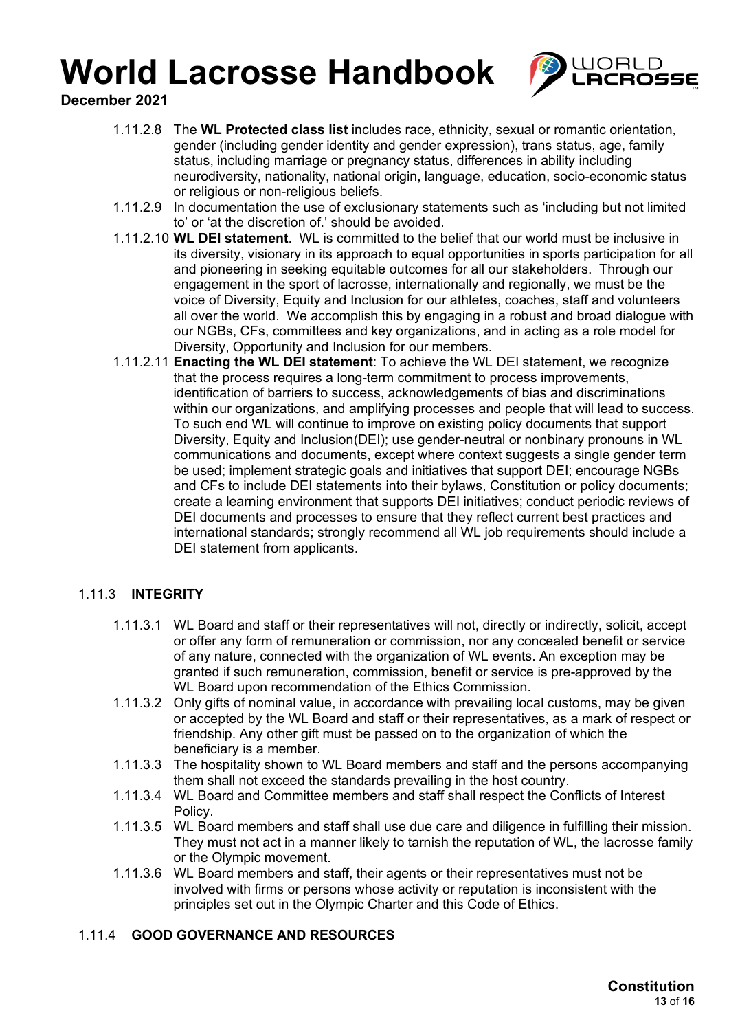

**December 2021**

- 1.11.2.8 The **WL Protected class list** includes race, ethnicity, sexual or romantic orientation, gender (including gender identity and gender expression), trans status, age, family status, including marriage or pregnancy status, differences in ability including neurodiversity, nationality, national origin, language, education, socio-economic status or religious or non-religious beliefs.
- 1.11.2.9 In documentation the use of exclusionary statements such as 'including but not limited to' or 'at the discretion of.' should be avoided.
- 1.11.2.10 **WL DEI statement**. WL is committed to the belief that our world must be inclusive in its diversity, visionary in its approach to equal opportunities in sports participation for all and pioneering in seeking equitable outcomes for all our stakeholders. Through our engagement in the sport of lacrosse, internationally and regionally, we must be the voice of Diversity, Equity and Inclusion for our athletes, coaches, staff and volunteers all over the world. We accomplish this by engaging in a robust and broad dialogue with our NGBs, CFs, committees and key organizations, and in acting as a role model for Diversity, Opportunity and Inclusion for our members.
- 1.11.2.11 **Enacting the WL DEI statement**: To achieve the WL DEI statement, we recognize that the process requires a long-term commitment to process improvements, identification of barriers to success, acknowledgements of bias and discriminations within our organizations, and amplifying processes and people that will lead to success. To such end WL will continue to improve on existing policy documents that support Diversity, Equity and Inclusion(DEI); use gender-neutral or nonbinary pronouns in WL communications and documents, except where context suggests a single gender term be used; implement strategic goals and initiatives that support DEI; encourage NGBs and CFs to include DEI statements into their bylaws, Constitution or policy documents; create a learning environment that supports DEI initiatives; conduct periodic reviews of DEI documents and processes to ensure that they reflect current best practices and international standards; strongly recommend all WL job requirements should include a DEI statement from applicants.

### 1.11.3 **INTEGRITY**

- 1.11.3.1 WL Board and staff or their representatives will not, directly or indirectly, solicit, accept or offer any form of remuneration or commission, nor any concealed benefit or service of any nature, connected with the organization of WL events. An exception may be granted if such remuneration, commission, benefit or service is pre-approved by the WL Board upon recommendation of the Ethics Commission.
- 1.11.3.2 Only gifts of nominal value, in accordance with prevailing local customs, may be given or accepted by the WL Board and staff or their representatives, as a mark of respect or friendship. Any other gift must be passed on to the organization of which the beneficiary is a member.
- 1.11.3.3 The hospitality shown to WL Board members and staff and the persons accompanying them shall not exceed the standards prevailing in the host country.
- 1.11.3.4 WL Board and Committee members and staff shall respect the Conflicts of Interest Policy.
- 1.11.3.5 WL Board members and staff shall use due care and diligence in fulfilling their mission. They must not act in a manner likely to tarnish the reputation of WL, the lacrosse family or the Olympic movement.
- 1.11.3.6 WL Board members and staff, their agents or their representatives must not be involved with firms or persons whose activity or reputation is inconsistent with the principles set out in the Olympic Charter and this Code of Ethics.

#### 1.11.4 **GOOD GOVERNANCE AND RESOURCES**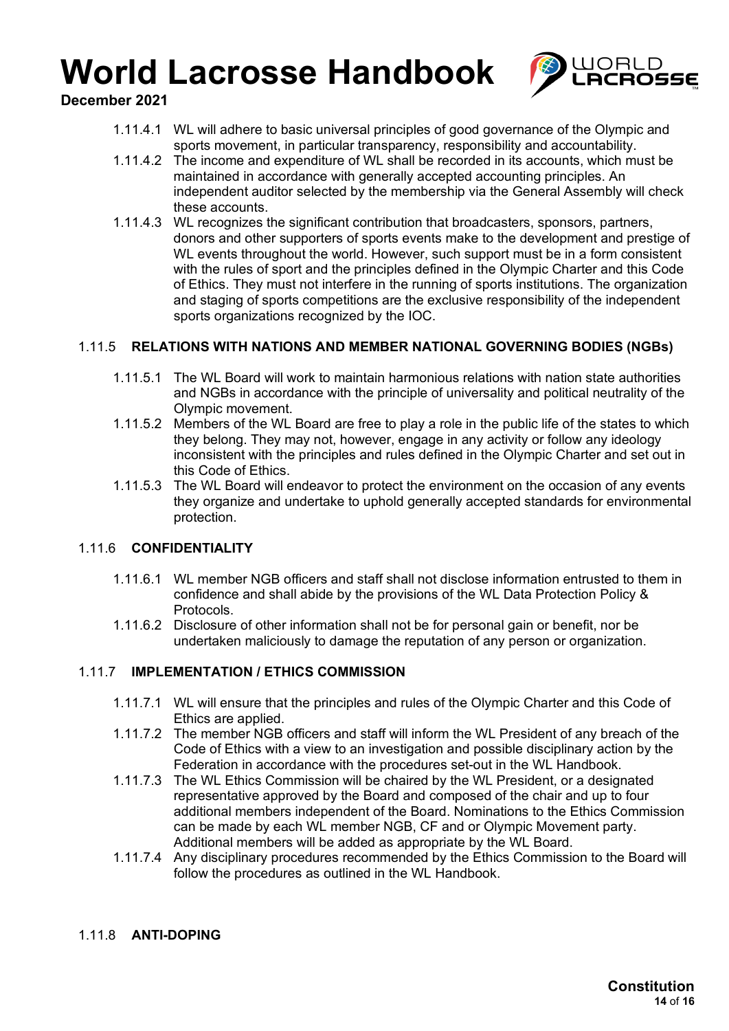

**December 2021**

- 1.11.4.1 WL will adhere to basic universal principles of good governance of the Olympic and sports movement, in particular transparency, responsibility and accountability.
- 1.11.4.2 The income and expenditure of WL shall be recorded in its accounts, which must be maintained in accordance with generally accepted accounting principles. An independent auditor selected by the membership via the General Assembly will check these accounts.
- 1.11.4.3 WL recognizes the significant contribution that broadcasters, sponsors, partners, donors and other supporters of sports events make to the development and prestige of WL events throughout the world. However, such support must be in a form consistent with the rules of sport and the principles defined in the Olympic Charter and this Code of Ethics. They must not interfere in the running of sports institutions. The organization and staging of sports competitions are the exclusive responsibility of the independent sports organizations recognized by the IOC.

### 1.11.5 **RELATIONS WITH NATIONS AND MEMBER NATIONAL GOVERNING BODIES (NGBs)**

- 1.11.5.1 The WL Board will work to maintain harmonious relations with nation state authorities and NGBs in accordance with the principle of universality and political neutrality of the Olympic movement.
- 1.11.5.2 Members of the WL Board are free to play a role in the public life of the states to which they belong. They may not, however, engage in any activity or follow any ideology inconsistent with the principles and rules defined in the Olympic Charter and set out in this Code of Ethics.
- 1.11.5.3 The WL Board will endeavor to protect the environment on the occasion of any events they organize and undertake to uphold generally accepted standards for environmental protection.

#### 1.11.6 **CONFIDENTIALITY**

- 1.11.6.1 WL member NGB officers and staff shall not disclose information entrusted to them in confidence and shall abide by the provisions of the WL Data Protection Policy & Protocols.
- 1.11.6.2 Disclosure of other information shall not be for personal gain or benefit, nor be undertaken maliciously to damage the reputation of any person or organization.

### 1.11.7 **IMPLEMENTATION / ETHICS COMMISSION**

- 1.11.7.1 WL will ensure that the principles and rules of the Olympic Charter and this Code of Ethics are applied.
- 1.11.7.2 The member NGB officers and staff will inform the WL President of any breach of the Code of Ethics with a view to an investigation and possible disciplinary action by the Federation in accordance with the procedures set-out in the WL Handbook.
- 1.11.7.3 The WL Ethics Commission will be chaired by the WL President, or a designated representative approved by the Board and composed of the chair and up to four additional members independent of the Board. Nominations to the Ethics Commission can be made by each WL member NGB, CF and or Olympic Movement party. Additional members will be added as appropriate by the WL Board.
- 1.11.7.4 Any disciplinary procedures recommended by the Ethics Commission to the Board will follow the procedures as outlined in the WL Handbook.

#### 1.11.8 **ANTI-DOPING**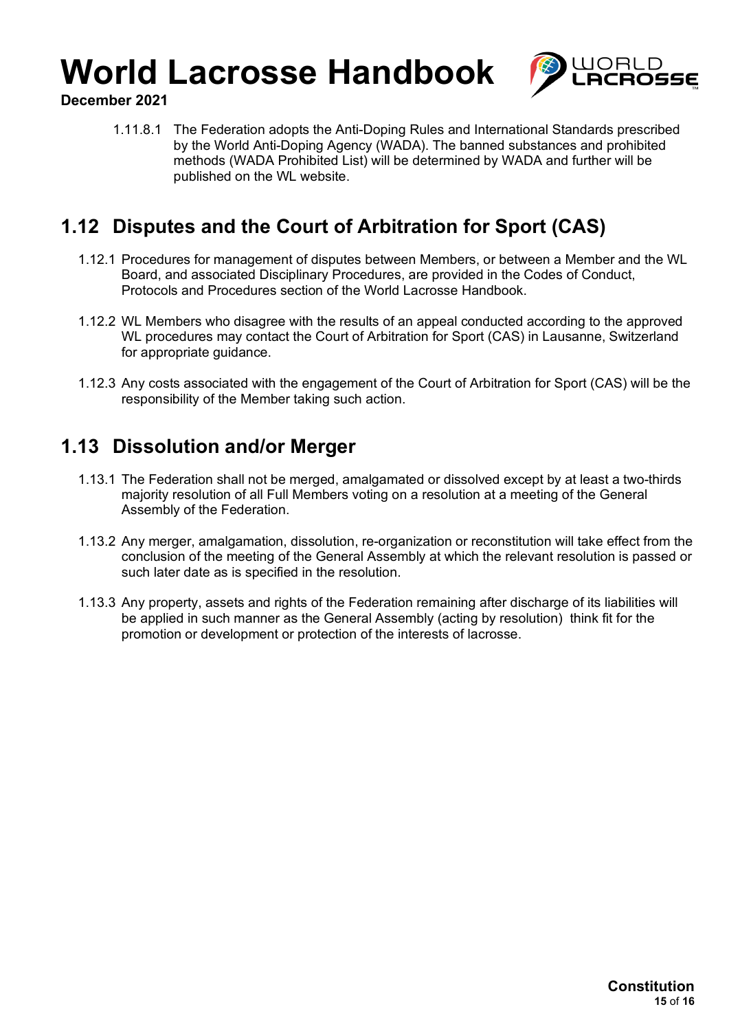

**December 2021**

1.11.8.1 The Federation adopts the Anti-Doping Rules and International Standards prescribed by the World Anti-Doping Agency (WADA). The banned substances and prohibited methods (WADA Prohibited List) will be determined by WADA and further will be published on the WL website.

## **1.12 Disputes and the Court of Arbitration for Sport (CAS)**

- 1.12.1 Procedures for management of disputes between Members, or between a Member and the WL Board, and associated Disciplinary Procedures, are provided in the Codes of Conduct, Protocols and Procedures section of the World Lacrosse Handbook.
- 1.12.2 WL Members who disagree with the results of an appeal conducted according to the approved WL procedures may contact the Court of Arbitration for Sport (CAS) in Lausanne, Switzerland for appropriate guidance.
- 1.12.3 Any costs associated with the engagement of the Court of Arbitration for Sport (CAS) will be the responsibility of the Member taking such action.

### **1.13 Dissolution and/or Merger**

- 1.13.1 The Federation shall not be merged, amalgamated or dissolved except by at least a two-thirds majority resolution of all Full Members voting on a resolution at a meeting of the General Assembly of the Federation.
- 1.13.2 Any merger, amalgamation, dissolution, re-organization or reconstitution will take effect from the conclusion of the meeting of the General Assembly at which the relevant resolution is passed or such later date as is specified in the resolution.
- 1.13.3 Any property, assets and rights of the Federation remaining after discharge of its liabilities will be applied in such manner as the General Assembly (acting by resolution) think fit for the promotion or development or protection of the interests of lacrosse.